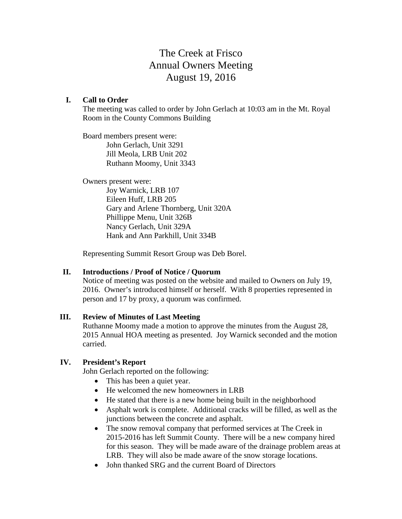# The Creek at Frisco Annual Owners Meeting August 19, 2016

#### **I. Call to Order**

The meeting was called to order by John Gerlach at 10:03 am in the Mt. Royal Room in the County Commons Building

Board members present were: John Gerlach, Unit 3291 Jill Meola, LRB Unit 202 Ruthann Moomy, Unit 3343

Owners present were:

Joy Warnick, LRB 107 Eileen Huff, LRB 205 Gary and Arlene Thornberg, Unit 320A Phillippe Menu, Unit 326B Nancy Gerlach, Unit 329A Hank and Ann Parkhill, Unit 334B

Representing Summit Resort Group was Deb Borel.

## **II. Introductions / Proof of Notice / Quorum**

Notice of meeting was posted on the website and mailed to Owners on July 19, 2016. Owner's introduced himself or herself. With 8 properties represented in person and 17 by proxy, a quorum was confirmed.

#### **III. Review of Minutes of Last Meeting**

Ruthanne Moomy made a motion to approve the minutes from the August 28, 2015 Annual HOA meeting as presented. Joy Warnick seconded and the motion carried.

## **IV. President's Report**

John Gerlach reported on the following:

- This has been a quiet year.
- He welcomed the new homeowners in LRB
- He stated that there is a new home being built in the neighborhood
- Asphalt work is complete. Additional cracks will be filled, as well as the junctions between the concrete and asphalt.
- The snow removal company that performed services at The Creek in 2015-2016 has left Summit County. There will be a new company hired for this season. They will be made aware of the drainage problem areas at LRB. They will also be made aware of the snow storage locations.
- John thanked SRG and the current Board of Directors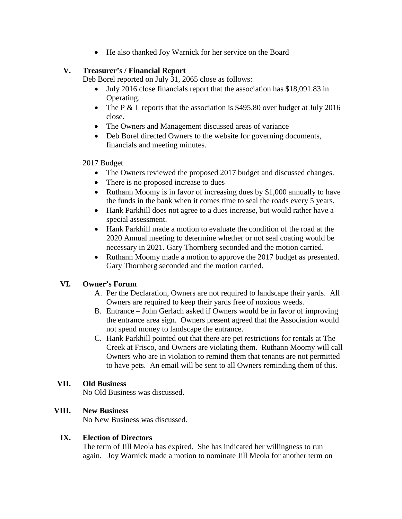• He also thanked Joy Warnick for her service on the Board

# **V. Treasurer's / Financial Report**

Deb Borel reported on July 31, 2065 close as follows:

- July 2016 close financials report that the association has \$18,091.83 in Operating.
- The P & L reports that the association is \$495.80 over budget at July 2016 close.
- The Owners and Management discussed areas of variance
- Deb Borel directed Owners to the website for governing documents, financials and meeting minutes.

## 2017 Budget

- The Owners reviewed the proposed 2017 budget and discussed changes.
- There is no proposed increase to dues
- Ruthann Moomy is in favor of increasing dues by \$1,000 annually to have the funds in the bank when it comes time to seal the roads every 5 years.
- Hank Parkhill does not agree to a dues increase, but would rather have a special assessment.
- Hank Parkhill made a motion to evaluate the condition of the road at the 2020 Annual meeting to determine whether or not seal coating would be necessary in 2021. Gary Thornberg seconded and the motion carried.
- Ruthann Moomy made a motion to approve the 2017 budget as presented. Gary Thornberg seconded and the motion carried.

# **VI. Owner's Forum**

- A. Per the Declaration, Owners are not required to landscape their yards. All Owners are required to keep their yards free of noxious weeds.
- B. Entrance John Gerlach asked if Owners would be in favor of improving the entrance area sign. Owners present agreed that the Association would not spend money to landscape the entrance.
- C. Hank Parkhill pointed out that there are pet restrictions for rentals at The Creek at Frisco, and Owners are violating them. Ruthann Moomy will call Owners who are in violation to remind them that tenants are not permitted to have pets. An email will be sent to all Owners reminding them of this.

# **VII. Old Business**

No Old Business was discussed.

# **VIII. New Business**

No New Business was discussed.

## **IX. Election of Directors**

The term of Jill Meola has expired. She has indicated her willingness to run again. Joy Warnick made a motion to nominate Jill Meola for another term on